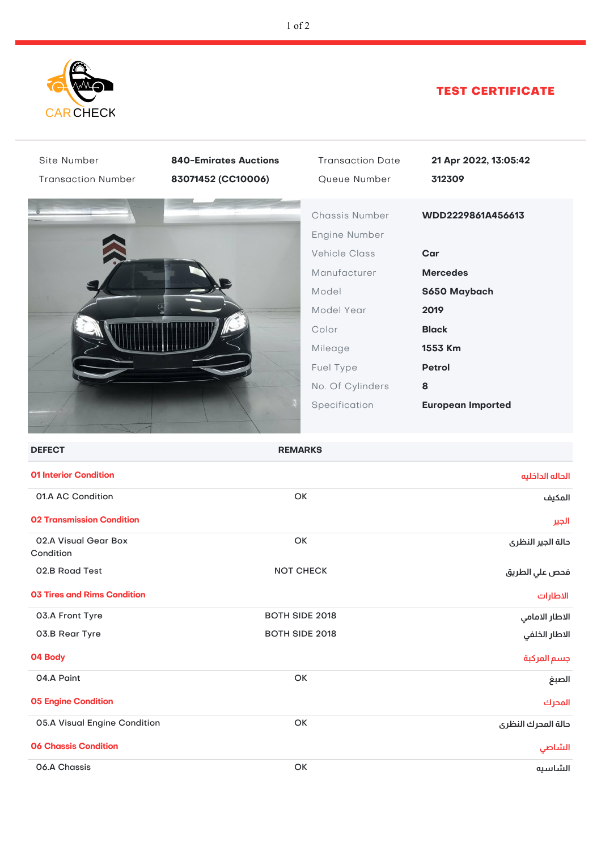

## TEST CERTIFICATE

| Site Number                        | <b>840-Emirates Auctions</b> | <b>Transaction Date</b> | 21 Apr 2022, 13:05:42    |
|------------------------------------|------------------------------|-------------------------|--------------------------|
| <b>Transaction Number</b>          | 83071452 (CC10006)           | Queue Number            | 312309                   |
|                                    |                              | Chassis Number          | WDD2229861A456613        |
|                                    |                              | Engine Number           |                          |
|                                    |                              | <b>Vehicle Class</b>    | Car                      |
|                                    |                              | Manufacturer            | <b>Mercedes</b>          |
|                                    |                              | Model                   | S650 Maybach             |
|                                    |                              | Model Year              |                          |
|                                    |                              |                         | 2019                     |
|                                    |                              | Color                   | <b>Black</b>             |
|                                    |                              | Mileage                 | 1553 Km                  |
|                                    |                              | Fuel Type               | Petrol                   |
|                                    |                              | No. Of Cylinders        | 8                        |
|                                    |                              | Specification           | <b>European Imported</b> |
|                                    |                              |                         |                          |
| <b>DEFECT</b>                      | <b>REMARKS</b>               |                         |                          |
| <b>01 Interior Condition</b>       |                              |                         | الحاله الداخليه          |
| 01.A AC Condition                  | OK                           |                         | المكيف                   |
| <b>02 Transmission Condition</b>   |                              |                         | الجير                    |
| 02.A Visual Gear Box<br>Condition  | OK                           |                         | حالة الجير النظرى        |
| 02.B Road Test                     | <b>NOT CHECK</b>             |                         | فحص علي الطريق           |
| <b>03 Tires and Rims Condition</b> |                              |                         | الاطارات                 |
| 03.A Front Tyre                    | BOTH SIDE 2018               |                         | الاطار الامامي           |
| 03.B Rear Tyre                     | BOTH SIDE 2018               |                         | الاطار الخلفي            |
| 04 Body                            |                              |                         | جسم المركبة              |
| 04.A Paint                         |                              | OK                      | الصبغ                    |
| <b>05 Engine Condition</b>         |                              |                         | المحرك                   |
| 05.A Visual Engine Condition       |                              | OK                      | دالة المدرك النظرى       |
| <b>06 Chassis Condition</b>        |                              |                         | الشاصى                   |
| 06.A Chassis                       |                              | OK                      | الشاسيه                  |
|                                    |                              |                         |                          |